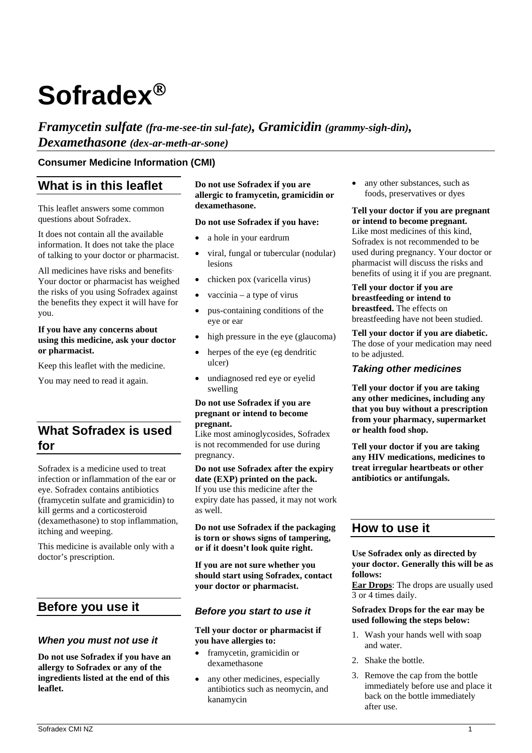# **Sofradex**

*Framycetin sulfate (fra-me-see-tin sul-fate), Gramicidin (grammy-sigh-din), Dexamethasone (dex-ar-meth-ar-sone)*

## **Consumer Medicine Information (CMI)**

## **What is in this leaflet**

This leaflet answers some common questions about Sofradex.

It does not contain all the available information. It does not take the place of talking to your doctor or pharmacist.

All medicines have risks and benefits. Your doctor or pharmacist has weighed the risks of you using Sofradex against the benefits they expect it will have for you.

#### **If you have any concerns about using this medicine, ask your doctor or pharmacist.**

Keep this leaflet with the medicine.

You may need to read it again.

# **What Sofradex is used for**

Sofradex is a medicine used to treat infection or inflammation of the ear or eye. Sofradex contains antibiotics (framycetin sulfate and gramicidin) to kill germs and a corticosteroid (dexamethasone) to stop inflammation, itching and weeping.

This medicine is available only with a doctor's prescription.

# **Before you use it**

## *When you must not use it*

**Do not use Sofradex if you have an allergy to Sofradex or any of the ingredients listed at the end of this leaflet.** 

**Do not use Sofradex if you are allergic to framycetin, gramicidin or dexamethasone.** 

#### **Do not use Sofradex if you have:**

- a hole in your eardrum
- viral, fungal or tubercular (nodular) lesions
- chicken pox (varicella virus)
- vaccinia a type of virus
- pus-containing conditions of the eye or ear
- high pressure in the eye (glaucoma)
- herpes of the eye (eg dendritic ulcer)
- undiagnosed red eye or eyelid swelling

#### **Do not use Sofradex if you are pregnant or intend to become pregnant.**

Like most aminoglycosides, Sofradex is not recommended for use during pregnancy.

**Do not use Sofradex after the expiry date (EXP) printed on the pack.**  If you use this medicine after the expiry date has passed, it may not work as well.

**Do not use Sofradex if the packaging is torn or shows signs of tampering, or if it doesn't look quite right.** 

**If you are not sure whether you should start using Sofradex, contact your doctor or pharmacist.** 

#### *Before you start to use it*

**Tell your doctor or pharmacist if you have allergies to:** 

- framycetin, gramicidin or dexamethasone
- any other medicines, especially antibiotics such as neomycin, and kanamycin

 any other substances, such as foods, preservatives or dyes

**Tell your doctor if you are pregnant or intend to become pregnant.**  Like most medicines of this kind, Sofradex is not recommended to be used during pregnancy. Your doctor or pharmacist will discuss the risks and

benefits of using it if you are pregnant. **Tell your doctor if you are breastfeeding or intend to breastfeed.** The effects on

breastfeeding have not been studied.

**Tell your doctor if you are diabetic.**  The dose of your medication may need to be adjusted.

## *Taking other medicines*

**Tell your doctor if you are taking any other medicines, including any that you buy without a prescription from your pharmacy, supermarket or health food shop.** 

**Tell your doctor if you are taking any HIV medications, medicines to treat irregular heartbeats or other antibiotics or antifungals.** 

## **How to use it**

**Use Sofradex only as directed by your doctor. Generally this will be as follows:** 

**Ear Drops**: The drops are usually used 3 or 4 times daily.

#### **Sofradex Drops for the ear may be used following the steps below:**

- 1. Wash your hands well with soap and water.
- 2. Shake the bottle.
- 3. Remove the cap from the bottle immediately before use and place it back on the bottle immediately after use.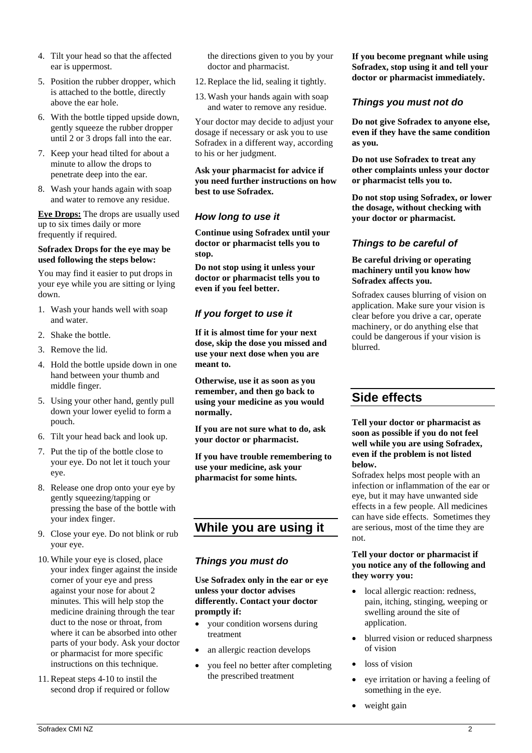- 4. Tilt your head so that the affected ear is uppermost.
- 5. Position the rubber dropper, which is attached to the bottle, directly above the ear hole.
- 6. With the bottle tipped upside down, gently squeeze the rubber dropper until 2 or 3 drops fall into the ear.
- 7. Keep your head tilted for about a minute to allow the drops to penetrate deep into the ear.
- 8. Wash your hands again with soap and water to remove any residue.

**Eye Drops:** The drops are usually used up to six times daily or more frequently if required.

#### **Sofradex Drops for the eye may be used following the steps below:**

You may find it easier to put drops in your eye while you are sitting or lying down.

- 1. Wash your hands well with soap and water.
- 2. Shake the bottle.
- 3. Remove the lid.
- 4. Hold the bottle upside down in one hand between your thumb and middle finger.
- 5. Using your other hand, gently pull down your lower eyelid to form a pouch.
- 6. Tilt your head back and look up.
- 7. Put the tip of the bottle close to your eye. Do not let it touch your eye.
- 8. Release one drop onto your eye by gently squeezing/tapping or pressing the base of the bottle with your index finger.
- 9. Close your eye. Do not blink or rub your eye.
- 10. While your eye is closed, place your index finger against the inside corner of your eye and press against your nose for about 2 minutes. This will help stop the medicine draining through the tear duct to the nose or throat, from where it can be absorbed into other parts of your body. Ask your doctor or pharmacist for more specific instructions on this technique.
- 11.Repeat steps 4-10 to instil the second drop if required or follow

the directions given to you by your doctor and pharmacist.

- 12.Replace the lid, sealing it tightly.
- 13. Wash your hands again with soap and water to remove any residue.

Your doctor may decide to adjust your dosage if necessary or ask you to use Sofradex in a different way, according to his or her judgment.

**Ask your pharmacist for advice if you need further instructions on how best to use Sofradex.** 

## *How long to use it*

**Continue using Sofradex until your doctor or pharmacist tells you to stop.** 

**Do not stop using it unless your doctor or pharmacist tells you to even if you feel better.** 

## *If you forget to use it*

**If it is almost time for your next dose, skip the dose you missed and use your next dose when you are meant to.** 

**Otherwise, use it as soon as you remember, and then go back to using your medicine as you would normally.** 

**If you are not sure what to do, ask your doctor or pharmacist.** 

**If you have trouble remembering to use your medicine, ask your pharmacist for some hints.** 

# **While you are using it**

## *Things you must do*

**Use Sofradex only in the ear or eye unless your doctor advises differently. Contact your doctor promptly if:** 

- your condition worsens during treatment
- an allergic reaction develops
- you feel no better after completing the prescribed treatment

**If you become pregnant while using Sofradex, stop using it and tell your doctor or pharmacist immediately.** 

## *Things you must not do*

**Do not give Sofradex to anyone else, even if they have the same condition as you.** 

**Do not use Sofradex to treat any other complaints unless your doctor or pharmacist tells you to.** 

**Do not stop using Sofradex, or lower the dosage, without checking with your doctor or pharmacist.** 

## *Things to be careful of*

#### **Be careful driving or operating machinery until you know how Sofradex affects you.**

Sofradex causes blurring of vision on application. Make sure your vision is clear before you drive a car, operate machinery, or do anything else that could be dangerous if your vision is blurred.

# **Side effects**

#### **Tell your doctor or pharmacist as soon as possible if you do not feel well while you are using Sofradex, even if the problem is not listed below.**

Sofradex helps most people with an infection or inflammation of the ear or eye, but it may have unwanted side effects in a few people. All medicines can have side effects. Sometimes they are serious, most of the time they are not.

#### **Tell your doctor or pharmacist if you notice any of the following and they worry you:**

- local allergic reaction: redness, pain, itching, stinging, weeping or swelling around the site of application.
- blurred vision or reduced sharpness of vision
- loss of vision
- eye irritation or having a feeling of something in the eye.
- weight gain